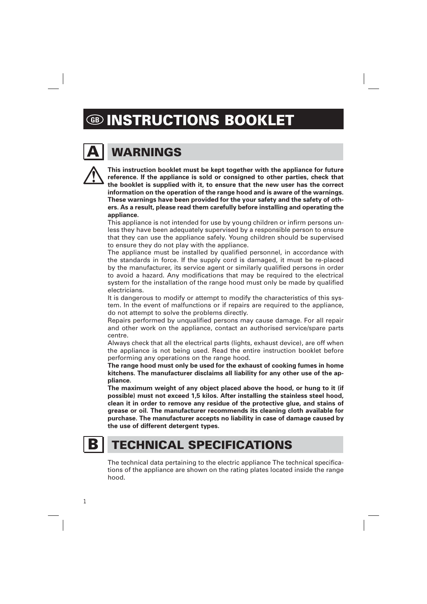# **GB INSTRUCTIONS BOOKLET**

# **WARNINGS**

**This instruction booklet must be kept together with the appliance for future reference. If the appliance is sold or consigned to other parties, check that the booklet is supplied with it, to ensure that the new user has the correct information on the operation of the range hood and is aware of the warnings. These warnings have been provided for the your safety and the safety of others. As a result, please read them carefully before installing and operating the appliance.** 

This appliance is not intended for use by young children or infirm persons unless they have been adequately supervised by a responsible person to ensure that they can use the appliance safely. Young children should be supervised to ensure they do not play with the appliance.

The appliance must be installed by qualified personnel, in accordance with the standards in force. If the supply cord is damaged, it must be re-placed by the manufacturer, its service agent or similarly qualified persons in order to avoid a hazard. Any modifications that may be required to the electrical system for the installation of the range hood must only be made by qualified electricians.

It is dangerous to modify or attempt to modify the characteristics of this system. In the event of malfunctions or if repairs are required to the appliance, do not attempt to solve the problems directly.

Repairs performed by unqualified persons may cause damage. For all repair and other work on the appliance, contact an authorised service/spare parts centre.

Always check that all the electrical parts (lights, exhaust device), are off when the appliance is not being used. Read the entire instruction booklet before performing any operations on the range hood.

**The range hood must only be used for the exhaust of cooking fumes in home kitchens. The manufacturer disclaims all liability for any other use of the appliance.** 

**The maximum weight of any object placed above the hood, or hung to it (if possible) must not exceed 1,5 kilos. After installing the stainless steel hood, clean it in order to remove any residue of the protective glue, and stains of grease or oil. The manufacturer recommends its cleaning cloth available for purchase. The manufacturer accepts no liability in case of damage caused by the use of different detergent types.** 

1

# **B** | TECHNICAL SPECIFICATIONS

The technical data pertaining to the electric appliance The technical specifications of the appliance are shown on the rating plates located inside the range hood.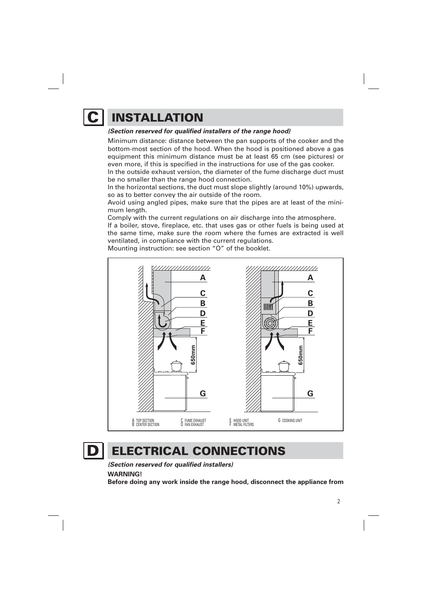

# **C INSTALLATION**

#### **(Section reserved for qualified installers of the range hood)**

Minimum distance: distance between the pan supports of the cooker and the bottom-most section of the hood. When the hood is positioned above a gas equipment this minimum distance must be at least 65 cm (see pictures) or even more, if this is specified in the instructions for use of the gas cooker.

In the outside exhaust version, the diameter of the fume discharge duct must be no smaller than the range hood connection.

In the horizontal sections, the duct must slope slightly (around 10%) upwards, so as to better convey the air outside of the room.

Avoid using angled pipes, make sure that the pipes are at least of the minimum length.

Comply with the current regulations on air discharge into the atmosphere.

If a boiler, stove, fireplace, etc. that uses gas or other fuels is being used at the same time, make sure the room where the fumes are extracted is well ventilated, in compliance with the current regulations.

Mounting instruction: see section "O" of the booklet.



## **D** ELECTRICAL CONNECTIONS

**(Section reserved for qualified installers)** 

**WARNING!** 

**Before doing any work inside the range hood, disconnect the appliance from**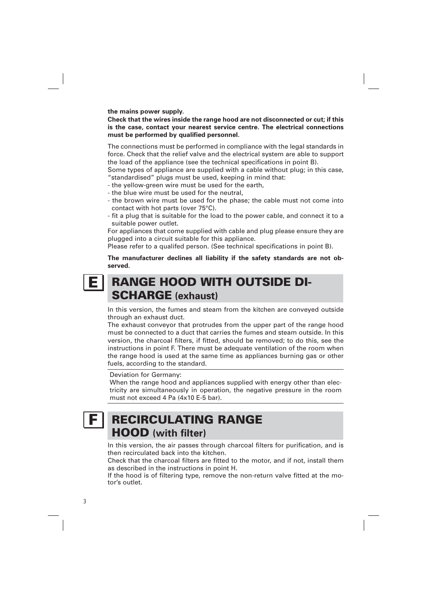**the mains power supply.** 

#### **Check that the wires inside the range hood are not disconnected or cut; if this is the case, contact your nearest service centre. The electrical connections must be performed by qualified personnel.**

The connections must be performed in compliance with the legal standards in force. Check that the relief valve and the electrical system are able to support the load of the appliance (see the technical specifications in point B).

Some types of appliance are supplied with a cable without plug; in this case, "standardised" plugs must be used, keeping in mind that:

- the yellow-green wire must be used for the earth,
- the blue wire must be used for the neutral,
- the brown wire must be used for the phase; the cable must not come into contact with hot parts (over 75°C).
- fit a plug that is suitable for the load to the power cable, and connect it to a suitable power outlet.

For appliances that come supplied with cable and plug please ensure they are plugged into a circuit suitable for this appliance.

Please refer to a qualifed person. (See technical specifications in point B).

**The manufacturer declines all liability if the safety standards are not observed.** 

#### **RANGE HOOD WITH OUTSIDE DI-SCHARGE (exhaust) E**

In this version, the fumes and steam from the kitchen are conveyed outside through an exhaust duct.

The exhaust conveyor that protrudes from the upper part of the range hood must be connected to a duct that carries the fumes and steam outside. In this version, the charcoal filters, if fitted, should be removed; to do this, see the instructions in point F. There must be adequate ventilation of the room when the range hood is used at the same time as appliances burning gas or other fuels, according to the standard.

#### Deviation for Germany:

When the range hood and appliances supplied with energy other than electricity are simultaneously in operation, the negative pressure in the room must not exceed 4 Pa (4x10 E-5 bar).

## **F | RECIRCULATING RANGE HOOD (with filter)**

In this version, the air passes through charcoal filters for purification, and is then recirculated back into the kitchen.

Check that the charcoal filters are fitted to the motor, and if not, install them as described in the instructions in point H.

If the hood is of filtering type, remove the non-return valve fitted at the motor's outlet.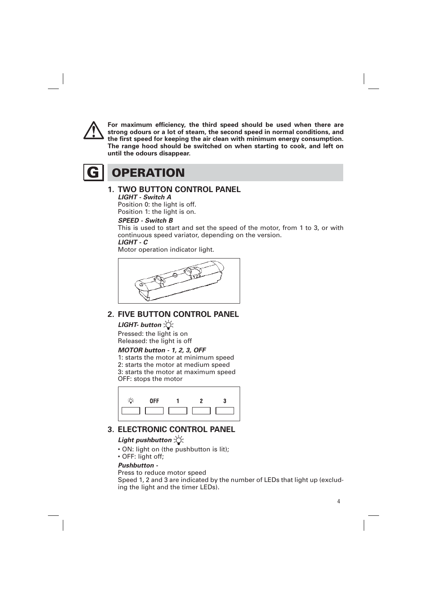

**For maximum efficiency, the third speed should be used when there are strong odours or a lot of steam, the second speed in normal conditions, and the first speed for keeping the air clean with minimum energy consumption. The range hood should be switched on when starting to cook, and left on until the odours disappear.** 

**G OPERATION** 

#### **1. TWO BUTTON CONTROL PANEL**

#### **LIGHT - Switch A**

Position 0: the light is off. Position 1: the light is on.

#### **SPEED - Switch B**

This is used to start and set the speed of the motor, from 1 to 3, or with continuous speed variator, depending on the version.  **LIGHT - C** 

Motor operation indicator light.



### **2. FIVE BUTTON CONTROL PANEL**

#### **LIGHT- button**

Pressed: the light is on Released: the light is off

#### **MOTOR button - 1, 2, 3, OFF**

1: starts the motor at minimum speed 2: starts the motor at medium speed 3: starts the motor at maximum speed OFF: stops the motor



### **3. ELECTRONIC CONTROL PANEL**

#### **Light pushbutton**  $\forall$

- ON: light on (the pushbutton is lit);
- OFF: light off;

#### **Pushbutton -**

#### Press to reduce motor speed

Speed 1, 2 and 3 are indicated by the number of LEDs that light up (excluding the light and the timer LEDs).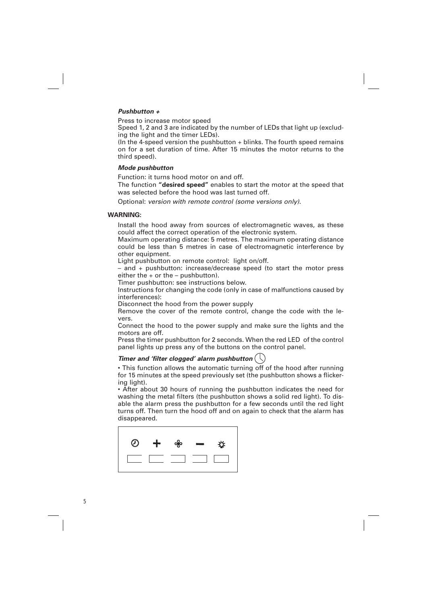#### **Pushbutton +**

Press to increase motor speed

Speed 1, 2 and 3 are indicated by the number of LEDs that light up (excluding the light and the timer LEDs).

(In the 4-speed version the pushbutton  $+$  blinks. The fourth speed remains on for a set duration of time. After 15 minutes the motor returns to the third speed).

#### **Mode pushbutton**

Function: it turns hood motor on and off.

 The function **"desired speed"** enables to start the motor at the speed that was selected before the hood was last turned off.

Optional: version with remote control (some versions only).

#### **WARNING:**

Install the hood away from sources of electromagnetic waves, as these could affect the correct operation of the electronic system.

Maximum operating distance: 5 metres. The maximum operating distance could be less than 5 metres in case of electromagnetic interference by other equipment.

Light pushbutton on remote control: light on/off.

– and + pushbutton: increase/decrease speed (to start the motor press either the  $+$  or the  $-$  pushbutton).

Timer pushbutton: see instructions below.

Instructions for changing the code (only in case of malfunctions caused by interferences):

Disconnect the hood from the power supply

Remove the cover of the remote control, change the code with the levers.

Connect the hood to the power supply and make sure the lights and the motors are off.

Press the timer pushbutton for 2 seconds. When the red LED of the control panel lights up press any of the buttons on the control panel.

#### **Timer and 'filter clogged' alarm pushbutton**

• This function allows the automatic turning off of the hood after running for 15 minutes at the speed previously set (the pushbutton shows a flickering light).

• After about 30 hours of running the pushbutton indicates the need for washing the metal filters (the pushbutton shows a solid red light). To disable the alarm press the pushbutton for a few seconds until the red light turns off. Then turn the hood off and on again to check that the alarm has disappeared.



5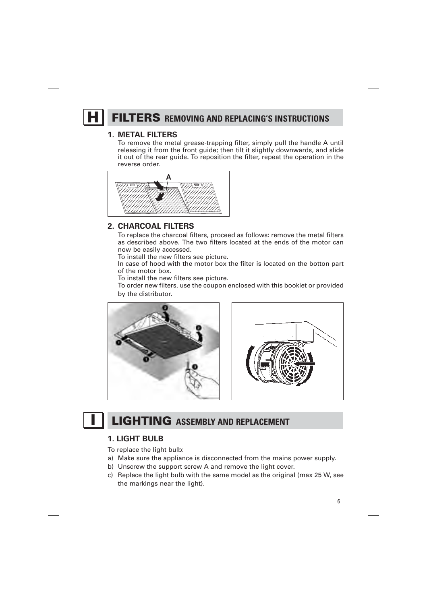## **H** FILTERS REMOVING AND REPLACING'S INSTRUCTIONS

#### **1. METAL FILTERS**

 To remove the metal grease-trapping filter, simply pull the handle A until releasing it from the front guide; then tilt it slightly downwards, and slide it out of the rear guide. To reposition the filter, repeat the operation in the reverse order.



#### **2. CHARCOAL FILTERS**

 To replace the charcoal filters, proceed as follows: remove the metal filters as described above. The two filters located at the ends of the motor can now be easily accessed.

To install the new filters see picture.

In case of hood with the motor box the filter is located on the botton part of the motor box.

To install the new filters see picture.

 To order new filters, use the coupon enclosed with this booklet or provided by the distributor.





# **I LIGHTING ASSEMBLY AND REPLACEMENT**

#### **1. LIGHT BULB**

To replace the light bulb:

- a) Make sure the appliance is disconnected from the mains power supply.
- b) Unscrew the support screw A and remove the light cover.
- c) Replace the light bulb with the same model as the original (max 25 W, see the markings near the light).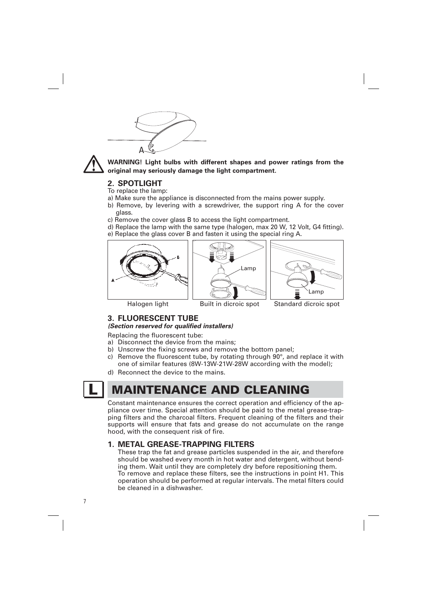



**WARNING! Light bulbs with different shapes and power ratings from the original may seriously damage the light compartment.** 

#### **2. SPOTLIGHT**

- To replace the lamp:
- a) Make sure the appliance is disconnected from the mains power supply.
- b) Remove, by levering with a screwdriver, the support ring A for the cover glass.
- c) Remove the cover glass B to access the light compartment.
- d) Replace the lamp with the same type (halogen, max 20 W, 12 Volt, G4 fitting). e) Replace the glass cover B and fasten it using the special ring A.



#### **3. FLUORESCENT TUBE**

**(Section reserved for qualified installers)** 

Replacing the fluorescent tube:

- a) Disconnect the device from the mains:
- b) Unscrew the fixing screws and remove the bottom panel;
- c) Remove the fluorescent tube, by rotating through 90°, and replace it with one of similar features (8W-13W-21W-28W according with the model);
- d) Reconnect the device to the mains.

7

# **MAINTENANCE AND CLEANING**

Constant maintenance ensures the correct operation and efficiency of the appliance over time. Special attention should be paid to the metal grease-trapping filters and the charcoal filters. Frequent cleaning of the filters and their supports will ensure that fats and grease do not accumulate on the range hood, with the consequent risk of fire.

#### **1. METAL GREASE-TRAPPING FILTERS**

These trap the fat and grease particles suspended in the air, and therefore should be washed every month in hot water and detergent, without bending them. Wait until they are completely dry before repositioning them. To remove and replace these filters, see the instructions in point H1. This operation should be performed at regular intervals. The metal filters could be cleaned in a dishwasher.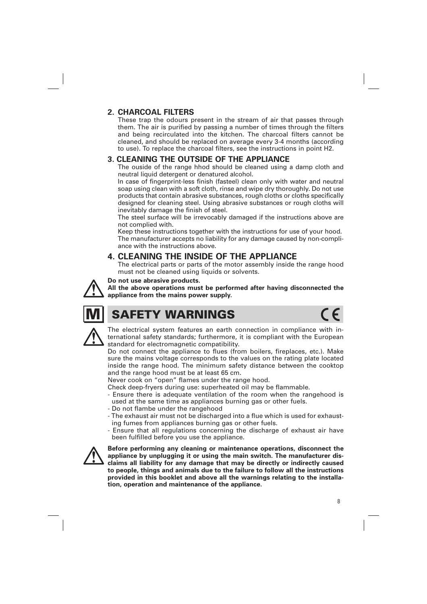#### **2. CHARCOAL FILTERS**

These trap the odours present in the stream of air that passes through them. The air is purified by passing a number of times through the filters and being recirculated into the kitchen. The charcoal filters cannot be cleaned, and should be replaced on average every 3-4 months (according to use). To replace the charcoal filters, see the instructions in point H2.

#### **3. CLEANING THE OUTSIDE OF THE APPLIANCE**

The ouside of the range hhod should be cleaned using a damp cloth and neutral liquid detergent or denatured alcohol.

In case of fingerprint-less finish (fasteel) clean only with water and neutral soap using clean with a soft cloth, rinse and wipe dry thoroughly. Do not use products that contain abrasive substances, rough cloths or cloths specifically designed for cleaning steel. Using abrasive substances or rough cloths will inevitably damage the finish of steel.

The steel surface will be irrevocably damaged if the instructions above are not complied with.

Keep these instructions together with the instructions for use of your hood. The manufacturer accepts no liability for any damage caused by non-compliance with the instructions above.

### **4. CLEANING THE INSIDE OF THE APPLIANCE**

The electrical parts or parts of the motor assembly inside the range hood must not be cleaned using liquids or solvents.

#### **Do not use abrasive products.**

**All the above operations must be performed after having disconnected the appliance from the mains power supply.** 



## **SAFETY WARNINGS**



The electrical system features an earth connection in compliance with international safety standards; furthermore, it is compliant with the European standard for electromagnetic compatibility.

Do not connect the appliance to flues (from boilers, fireplaces, etc.). Make sure the mains voltage corresponds to the values on the rating plate located inside the range hood. The minimum safety distance between the cooktop and the range hood must be at least 65 cm.

Never cook on "open" flames under the range hood.

- Check deep-fryers during use: superheated oil may be flammable.
- Ensure there is adequate ventilation of the room when the rangehood is used at the same time as appliances burning gas or other fuels.
- Do not flambe under the rangehood
- The exhaust air must not be discharged into a flue which is used for exhausting fumes from appliances burning gas or other fuels.
- Ensure that all regulations concerning the discharge of exhaust air have been fulfilled before you use the appliance.



**Before performing any cleaning or maintenance operations, disconnect the appliance by unplugging it or using the main switch. The manufacturer disclaims all liability for any damage that may be directly or indirectly caused to people, things and animals due to the failure to follow all the instructions provided in this booklet and above all the warnings relating to the installation, operation and maintenance of the appliance.**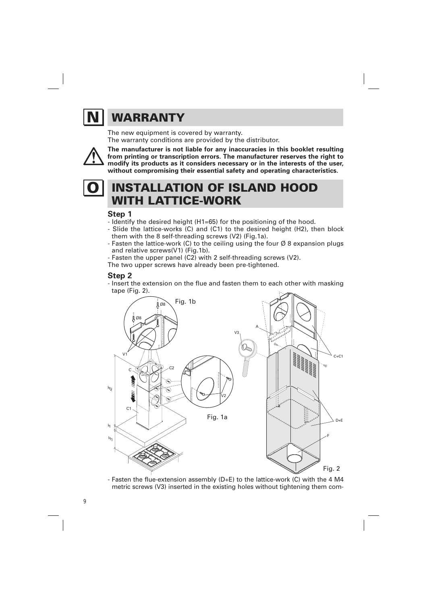# **N WARRANTY**

The new equipment is covered by warranty. The warranty conditions are provided by the distributor.



**The manufacturer is not liable for any inaccuracies in this booklet resulting from printing or transcription errors. The manufacturer reserves the right to modify its products as it considers necessary or in the interests of the user, without compromising their essential safety and operating characteristics.** 

# **INSTALLATION OF ISLAND HOOD WITH LATTICE-WORK**

#### **Step 1**

- Identify the desired height (H1=65) for the positioning of the hood.

- Slide the lattice-works (C) and (C1) to the desired height (H2), then block them with the 8 self-threading screws (V2) (Fig.1a).
- Fasten the lattice-work (C) to the ceiling using the four  $\emptyset$  8 expansion plugs and relative screws(V1) (Fig.1b).
- Fasten the upper panel (C2) with 2 self-threading screws (V2).

The two upper screws have already been pre-tightened.

#### **Step 2**

- Insert the extension on the flue and fasten them to each other with masking tape (Fig. 2).



- Fasten the flue-extension assembly (D+E) to the lattice-work (C) with the 4 M4 metric screws (V3) inserted in the existing holes without tightening them com-

9